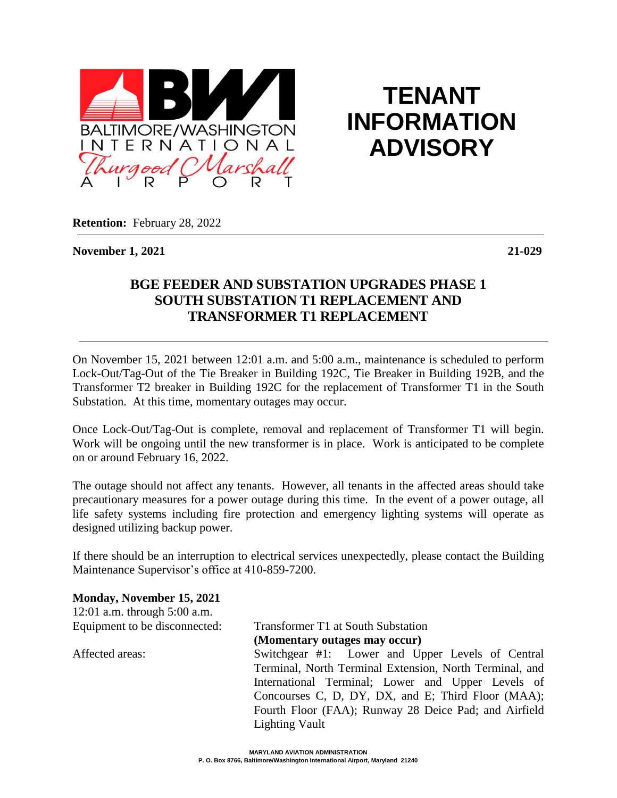

**TENANT INFORMATION ADVISORY**

**Retention:** February 28, 2022

**November 1, 2021 21-029**

## **BGE FEEDER AND SUBSTATION UPGRADES PHASE 1 SOUTH SUBSTATION T1 REPLACEMENT AND TRANSFORMER T1 REPLACEMENT**

On November 15, 2021 between 12:01 a.m. and 5:00 a.m., maintenance is scheduled to perform Lock-Out/Tag-Out of the Tie Breaker in Building 192C, Tie Breaker in Building 192B, and the Transformer T2 breaker in Building 192C for the replacement of Transformer T1 in the South Substation. At this time, momentary outages may occur.

Once Lock-Out/Tag-Out is complete, removal and replacement of Transformer T1 will begin. Work will be ongoing until the new transformer is in place. Work is anticipated to be complete on or around February 16, 2022.

The outage should not affect any tenants. However, all tenants in the affected areas should take precautionary measures for a power outage during this time. In the event of a power outage, all life safety systems including fire protection and emergency lighting systems will operate as designed utilizing backup power.

If there should be an interruption to electrical services unexpectedly, please contact the Building Maintenance Supervisor's office at 410-859-7200.

**Monday, November 15, 2021**

12:01 a.m. through 5:00 a.m.

Equipment to be disconnected: Transformer T1 at South Substation **(Momentary outages may occur)**

Affected areas: Switchgear #1: Lower and Upper Levels of Central Terminal, North Terminal Extension, North Terminal, and International Terminal; Lower and Upper Levels of Concourses C, D, DY, DX, and E; Third Floor (MAA); Fourth Floor (FAA); Runway 28 Deice Pad; and Airfield Lighting Vault